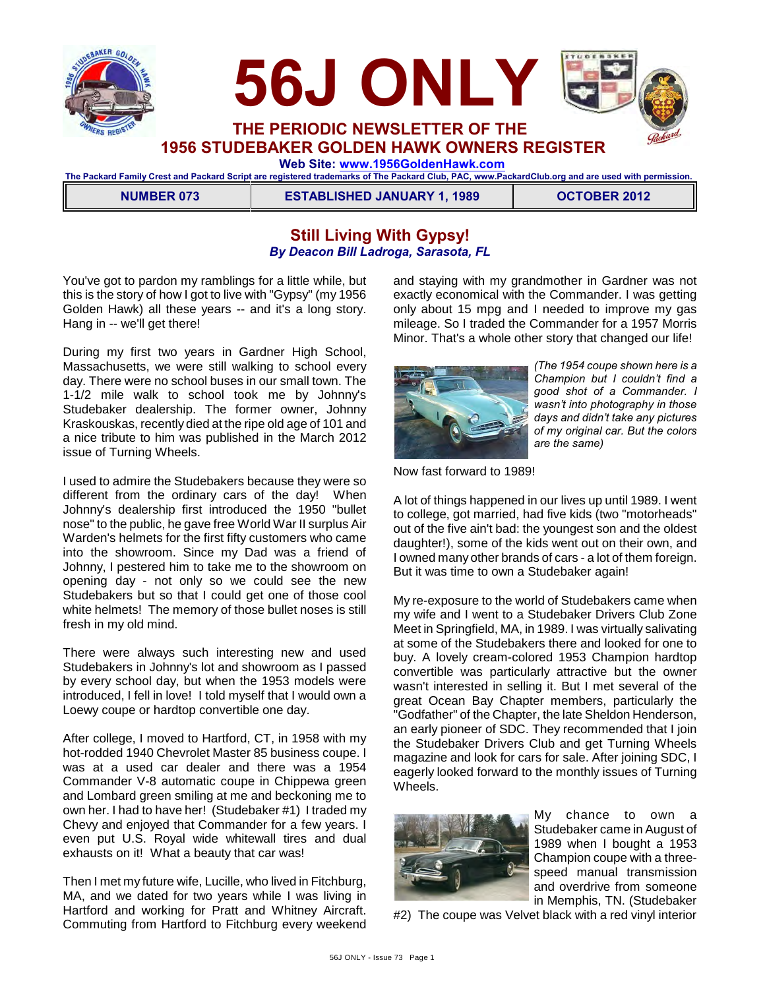



**1956 STUDEBAKER GOLDEN HAWK OWNERS REGISTER**

 **Web Site: [www.1956GoldenHawk.com](http://www.1956GoldenHawk.com)**

**The Packard Family Crest and Packard Script are registered trademarks of The Packard Club, PAC, www.PackardClub.org and are used with permission.** 

**NUMBER 073 ESTABLISHED JANUARY 1, 1989 OCTOBER 2012** 

# **Still Living With Gypsy!** *By Deacon Bill Ladroga, Sarasota, FL*

You've got to pardon my ramblings for a little while, but this is the story of how I got to live with "Gypsy" (my 1956 Golden Hawk) all these years -- and it's a long story. Hang in -- we'll get there!

During my first two years in Gardner High School, Massachusetts, we were still walking to school every day. There were no school buses in our small town. The 1-1/2 mile walk to school took me by Johnny's Studebaker dealership. The former owner, Johnny Kraskouskas, recently died at the ripe old age of 101 and a nice tribute to him was published in the March 2012 issue of Turning Wheels.

I used to admire the Studebakers because they were so different from the ordinary cars of the day! When Johnny's dealership first introduced the 1950 "bullet nose" to the public, he gave free World War II surplus Air Warden's helmets for the first fifty customers who came into the showroom. Since my Dad was a friend of Johnny, I pestered him to take me to the showroom on opening day - not only so we could see the new Studebakers but so that I could get one of those cool white helmets! The memory of those bullet noses is still fresh in my old mind.

There were always such interesting new and used Studebakers in Johnny's lot and showroom as I passed by every school day, but when the 1953 models were introduced, I fell in love! I told myself that I would own a Loewy coupe or hardtop convertible one day.

After college, I moved to Hartford, CT, in 1958 with my hot-rodded 1940 Chevrolet Master 85 business coupe. I was at a used car dealer and there was a 1954 Commander V-8 automatic coupe in Chippewa green and Lombard green smiling at me and beckoning me to own her. I had to have her! (Studebaker #1) I traded my Chevy and enjoyed that Commander for a few years. I even put U.S. Royal wide whitewall tires and dual exhausts on it! What a beauty that car was!

Then I met my future wife, Lucille, who lived in Fitchburg, MA, and we dated for two years while I was living in Hartford and working for Pratt and Whitney Aircraft. Commuting from Hartford to Fitchburg every weekend and staying with my grandmother in Gardner was not exactly economical with the Commander. I was getting only about 15 mpg and I needed to improve my gas mileage. So I traded the Commander for a 1957 Morris Minor. That's a whole other story that changed our life!



*(The 1954 coupe shown here is a Champion but I couldn't find a good shot of a Commander. I wasn't into photography in those days and didn't take any pictures of my original car. But the colors are the same)*

Now fast forward to 1989!

A lot of things happened in our lives up until 1989. I went to college, got married, had five kids (two "motorheads" out of the five ain't bad: the youngest son and the oldest daughter!), some of the kids went out on their own, and I owned many other brands of cars - a lot of them foreign. But it was time to own a Studebaker again!

My re-exposure to the world of Studebakers came when my wife and I went to a Studebaker Drivers Club Zone Meet in Springfield, MA, in 1989. I was virtually salivating at some of the Studebakers there and looked for one to buy. A lovely cream-colored 1953 Champion hardtop convertible was particularly attractive but the owner wasn't interested in selling it. But I met several of the great Ocean Bay Chapter members, particularly the "Godfather" of the Chapter, the late Sheldon Henderson, an early pioneer of SDC. They recommended that I join the Studebaker Drivers Club and get Turning Wheels magazine and look for cars for sale. After joining SDC, I eagerly looked forward to the monthly issues of Turning **Wheels** 



My chance to own a Studebaker came in August of 1989 when I bought a 1953 Champion coupe with a threespeed manual transmission and overdrive from someone in Memphis, TN. (Studebaker

#2) The coupe was Velvet black with a red vinyl interior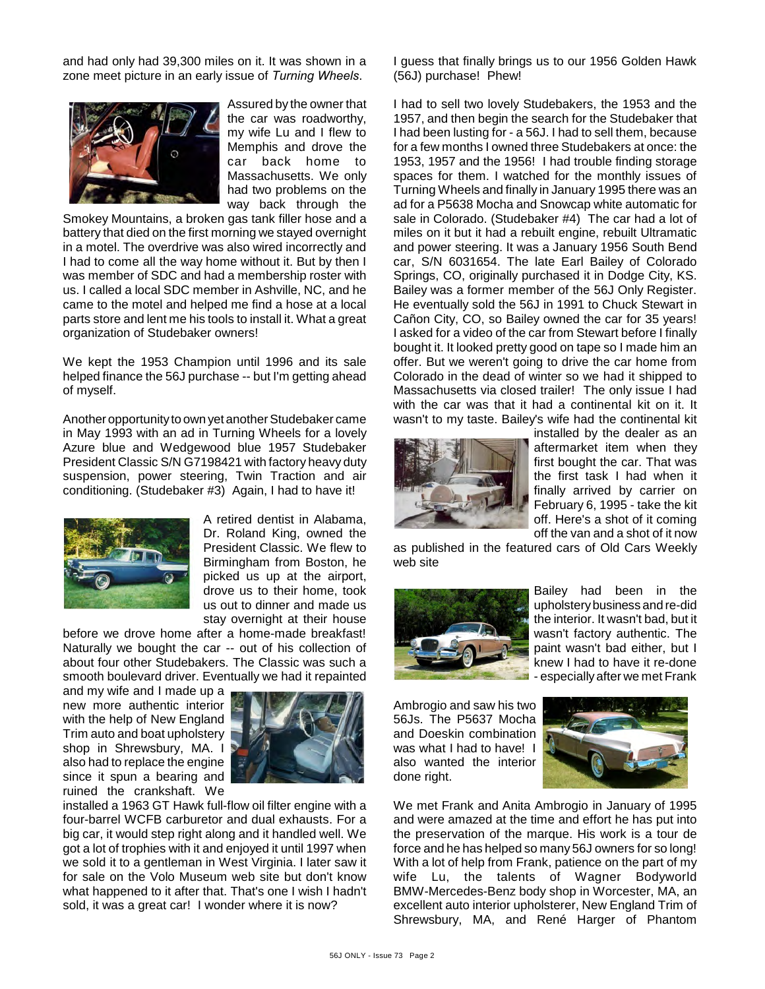and had only had 39,300 miles on it. It was shown in a zone meet picture in an early issue of *Turning Wheels*.



Assured by the owner that the car was roadworthy, my wife Lu and I flew to Memphis and drove the car back home to Massachusetts. We only had two problems on the way back through the

Smokey Mountains, a broken gas tank filler hose and a battery that died on the first morning we stayed overnight in a motel. The overdrive was also wired incorrectly and I had to come all the way home without it. But by then I was member of SDC and had a membership roster with us. I called a local SDC member in Ashville, NC, and he came to the motel and helped me find a hose at a local parts store and lent me his tools to install it. What a great organization of Studebaker owners!

We kept the 1953 Champion until 1996 and its sale helped finance the 56J purchase -- but I'm getting ahead of myself.

Another opportunity to own yet another Studebaker came in May 1993 with an ad in Turning Wheels for a lovely Azure blue and Wedgewood blue 1957 Studebaker President Classic S/N G7198421 with factory heavy duty suspension, power steering, Twin Traction and air conditioning. (Studebaker #3) Again, I had to have it!



A retired dentist in Alabama, Dr. Roland King, owned the President Classic. We flew to Birmingham from Boston, he picked us up at the airport, drove us to their home, took us out to dinner and made us stay overnight at their house

before we drove home after a home-made breakfast! Naturally we bought the car -- out of his collection of about four other Studebakers. The Classic was such a smooth boulevard driver. Eventually we had it repainted

and my wife and I made up a new more authentic interior with the help of New England Trim auto and boat upholstery shop in Shrewsbury, MA. I also had to replace the engine since it spun a bearing and ruined the crankshaft. We



installed a 1963 GT Hawk full-flow oil filter engine with a four-barrel WCFB carburetor and dual exhausts. For a big car, it would step right along and it handled well. We got a lot of trophies with it and enjoyed it until 1997 when we sold it to a gentleman in West Virginia. I later saw it for sale on the Volo Museum web site but don't know what happened to it after that. That's one I wish I hadn't sold, it was a great car! I wonder where it is now?

I guess that finally brings us to our 1956 Golden Hawk (56J) purchase! Phew!

I had to sell two lovely Studebakers, the 1953 and the 1957, and then begin the search for the Studebaker that I had been lusting for - a 56J. I had to sell them, because for a few months I owned three Studebakers at once: the 1953, 1957 and the 1956! I had trouble finding storage spaces for them. I watched for the monthly issues of Turning Wheels and finally in January 1995 there was an ad for a P5638 Mocha and Snowcap white automatic for sale in Colorado. (Studebaker #4) The car had a lot of miles on it but it had a rebuilt engine, rebuilt Ultramatic and power steering. It was a January 1956 South Bend car, S/N 6031654. The late Earl Bailey of Colorado Springs, CO, originally purchased it in Dodge City, KS. Bailey was a former member of the 56J Only Register. He eventually sold the 56J in 1991 to Chuck Stewart in Cañon City, CO, so Bailey owned the car for 35 years! I asked for a video of the car from Stewart before I finally bought it. It looked pretty good on tape so I made him an offer. But we weren't going to drive the car home from Colorado in the dead of winter so we had it shipped to Massachusetts via closed trailer! The only issue I had with the car was that it had a continental kit on it. It wasn't to my taste. Bailey's wife had the continental kit



installed by the dealer as an aftermarket item when they first bought the car. That was the first task I had when it finally arrived by carrier on February 6, 1995 - take the kit off. Here's a shot of it coming off the van and a shot of it now

as published in the featured cars of Old Cars Weekly web site



Bailey had been in the upholstery business and re-did the interior. It wasn't bad, but it wasn't factory authentic. The paint wasn't bad either, but I knew I had to have it re-done - especially after we met Frank

Ambrogio and saw his two 56Js. The P5637 Mocha and Doeskin combination was what I had to have! I also wanted the interior done right.



We met Frank and Anita Ambrogio in January of 1995 and were amazed at the time and effort he has put into the preservation of the marque. His work is a tour de force and he has helped so many 56J owners for so long! With a lot of help from Frank, patience on the part of my wife Lu, the talents of Wagner Bodyworld BMW-Mercedes-Benz body shop in Worcester, MA, an excellent auto interior upholsterer, New England Trim of Shrewsbury, MA, and René Harger of Phantom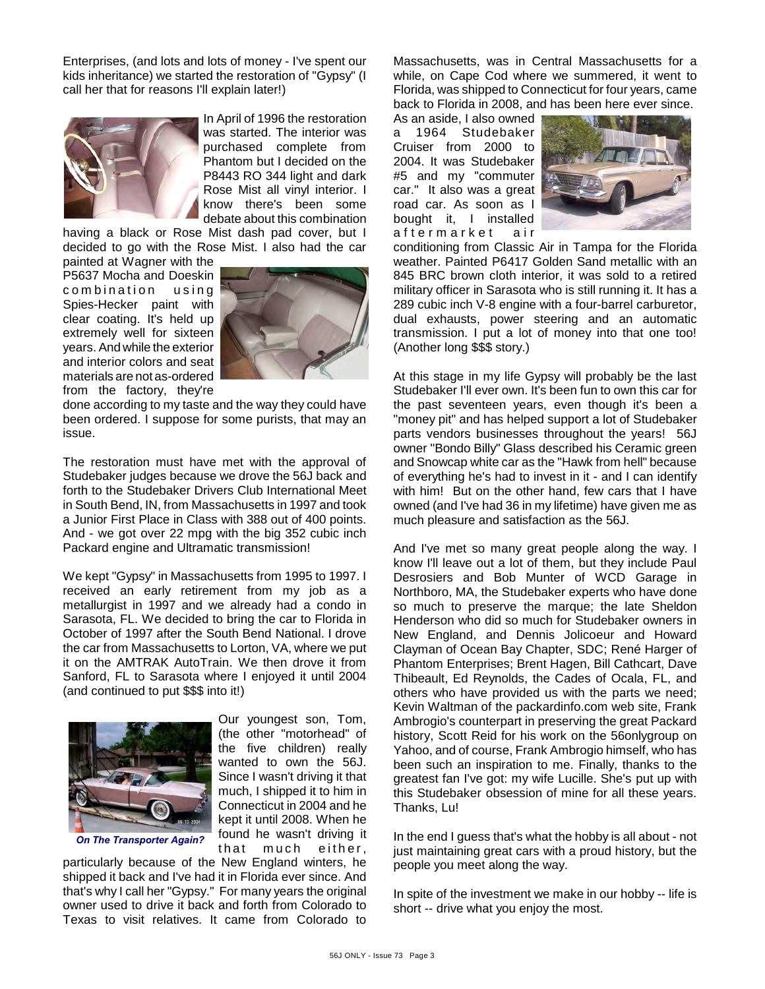Enterprises, (and lots and lots of money - I've spent our kids inheritance) we started the restoration of "Gypsy" (I call her that for reasons I'll explain later!)



In April of 1996 the restoration was started. The interior was purchased complete from Phantom but I decided on the P8443 RO 344 light and dark Rose Mist all vinyl interior. I know there's been some debate about this combination

having a black or Rose Mist dash pad cover, but I decided to go with the Rose Mist. I also had the car

painted at Wagner with the P5637 Mocha and Doeskin combination using Spies-Hecker paint with clear coating. It's held up extremely well for sixteen years. And while the exterior and interior colors and seat materials are not as-ordered from the factory, they're



done according to my taste and the way they could have been ordered. I suppose for some purists, that may an issue.

The restoration must have met with the approval of Studebaker judges because we drove the 56J back and forth to the Studebaker Drivers Club International Meet in South Bend, IN, from Massachusetts in 1997 and took a Junior First Place in Class with 388 out of 400 points. And - we got over 22 mpg with the big 352 cubic inch Packard engine and Ultramatic transmission!

We kept "Gypsy" in Massachusetts from 1995 to 1997. I received an early retirement from my job as a metallurgist in 1997 and we already had a condo in Sarasota, FL. We decided to bring the car to Florida in October of 1997 after the South Bend National. I drove the car from Massachusetts to Lorton, VA, where we put it on the AMTRAK AutoTrain. We then drove it from Sanford, FL to Sarasota where I enjoyed it until 2004 (and continued to put \$\$\$ into it!)



Our youngest son, Tom, (the other "motorhead" of the five children) really wanted to own the 56J. Since I wasn't driving it that much, I shipped it to him in Connecticut in 2004 and he kept it until 2008. When he found he wasn't driving it that much either.

particularly because of the New England winters, he shipped it back and I've had it in Florida ever since. And that's why I call her "Gypsy." For many years the original owner used to drive it back and forth from Colorado to Texas to visit relatives. It came from Colorado to Massachusetts, was in Central Massachusetts for a while, on Cape Cod where we summered, it went to Florida, was shipped to Connecticut for four years, came back to Florida in 2008, and has been here ever since.

As an aside, I also owned<br>a 1964 Studebaker a 1964 Studebaker Cruiser from 2000 to 2004. It was Studebaker #5 and my "commuter car." It also was a great road car. As soon as I bought it, I installed<br>aftermarket air a f t e r m a r k e t



conditioning from Classic Air in Tampa for the Florida weather. Painted P6417 Golden Sand metallic with an 845 BRC brown cloth interior, it was sold to a retired military officer in Sarasota who is still running it. It has a 289 cubic inch V-8 engine with a four-barrel carburetor, dual exhausts, power steering and an automatic transmission. I put a lot of money into that one too! (Another long \$\$\$ story.)

At this stage in my life Gypsy will probably be the last Studebaker I'll ever own. It's been fun to own this car for the past seventeen years, even though it's been a "money pit" and has helped support a lot of Studebaker parts vendors businesses throughout the years! 56J owner "Bondo Billy" Glass described his Ceramic green and Snowcap white car as the "Hawk from hell" because of everything he's had to invest in it - and I can identify with him! But on the other hand, few cars that I have owned (and I've had 36 in my lifetime) have given me as much pleasure and satisfaction as the 56J.

And I've met so many great people along the way. I know I'll leave out a lot of them, but they include Paul Desrosiers and Bob Munter of WCD Garage in Northboro, MA, the Studebaker experts who have done so much to preserve the marque; the late Sheldon Henderson who did so much for Studebaker owners in New England, and Dennis Jolicoeur and Howard Clayman of Ocean Bay Chapter, SDC; René Harger of Phantom Enterprises; Brent Hagen, Bill Cathcart, Dave Thibeault, Ed Reynolds, the Cades of Ocala, FL, and others who have provided us with the parts we need; Kevin Waltman of the packardinfo.com web site, Frank Ambrogio's counterpart in preserving the great Packard history, Scott Reid for his work on the 56onlygroup on Yahoo, and of course, Frank Ambrogio himself, who has been such an inspiration to me. Finally, thanks to the greatest fan I've got: my wife Lucille. She's put up with this Studebaker obsession of mine for all these years. Thanks, Lu!

In the end I guess that's what the hobby is all about - not just maintaining great cars with a proud history, but the people you meet along the way.

In spite of the investment we make in our hobby -- life is short -- drive what you enjoy the most.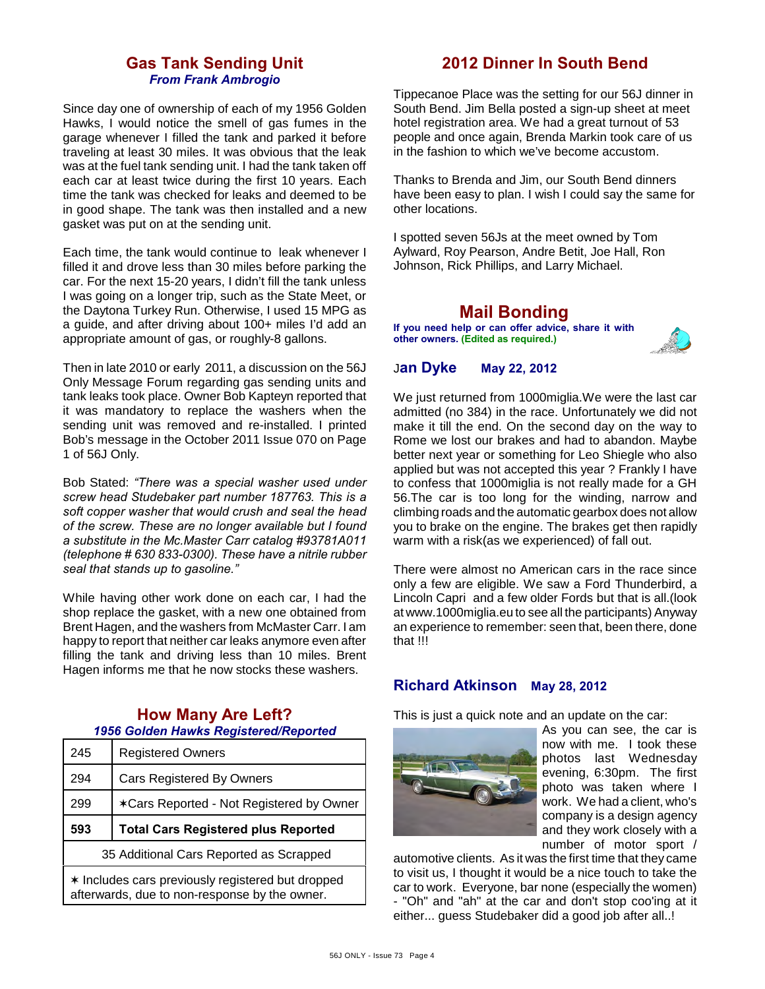## **Gas Tank Sending Unit** *From Frank Ambrogio*

Since day one of ownership of each of my 1956 Golden Hawks, I would notice the smell of gas fumes in the garage whenever I filled the tank and parked it before traveling at least 30 miles. It was obvious that the leak was at the fuel tank sending unit. I had the tank taken off each car at least twice during the first 10 years. Each time the tank was checked for leaks and deemed to be in good shape. The tank was then installed and a new gasket was put on at the sending unit.

Each time, the tank would continue to leak whenever I filled it and drove less than 30 miles before parking the car. For the next 15-20 years, I didn't fill the tank unless I was going on a longer trip, such as the State Meet, or the Daytona Turkey Run. Otherwise, I used 15 MPG as a guide, and after driving about 100+ miles I'd add an appropriate amount of gas, or roughly-8 gallons.

Then in late 2010 or early 2011, a discussion on the 56J Only Message Forum regarding gas sending units and tank leaks took place. Owner Bob Kapteyn reported that it was mandatory to replace the washers when the sending unit was removed and re-installed. I printed Bob's message in the October 2011 Issue 070 on Page 1 of 56J Only.

Bob Stated: *"There was a special washer used under screw head Studebaker part number 187763. This is a soft copper washer that would crush and seal the head of the screw. These are no longer available but I found a substitute in the Mc.Master Carr catalog #93781A011 (telephone # 630 833-0300). These have a nitrile rubber seal that stands up to gasoline."*

While having other work done on each car, I had the shop replace the gasket, with a new one obtained from Brent Hagen, and the washers from McMaster Carr. I am happy to report that neither car leaks anymore even after filling the tank and driving less than 10 miles. Brent Hagen informs me that he now stocks these washers.

## **How Many Are Left?** *1956 Golden Hawks Registered/Reported*

| 245 | <b>Registered Owners</b>                   |  |
|-----|--------------------------------------------|--|
| 294 | Cars Registered By Owners                  |  |
| 299 | *Cars Reported - Not Registered by Owner   |  |
|     | <b>Total Cars Registered plus Reported</b> |  |
| 593 |                                            |  |
|     | 35 Additional Cars Reported as Scrapped    |  |

# **2012 Dinner In South Bend**

Tippecanoe Place was the setting for our 56J dinner in South Bend. Jim Bella posted a sign-up sheet at meet hotel registration area. We had a great turnout of 53 people and once again, Brenda Markin took care of us in the fashion to which we've become accustom.

Thanks to Brenda and Jim, our South Bend dinners have been easy to plan. I wish I could say the same for other locations.

I spotted seven 56Js at the meet owned by Tom Aylward, Roy Pearson, Andre Betit, Joe Hall, Ron Johnson, Rick Phillips, and Larry Michael.

## **Mail Bonding**

**If you need help or can offer advice, share it with other owners. (Edited as required.)**



#### J**an Dyke May 22, 2012**

We just returned from 1000miglia.We were the last car admitted (no 384) in the race. Unfortunately we did not make it till the end. On the second day on the way to Rome we lost our brakes and had to abandon. Maybe better next year or something for Leo Shiegle who also applied but was not accepted this year ? Frankly I have to confess that 1000miglia is not really made for a GH 56.The car is too long for the winding, narrow and climbing roads and the automatic gearbox does not allow you to brake on the engine. The brakes get then rapidly warm with a risk(as we experienced) of fall out.

There were almost no American cars in the race since only a few are eligible. We saw a Ford Thunderbird, a Lincoln Capri and a few older Fords but that is all.(look at www.1000miglia.eu to see all the participants) Anyway an experience to remember: seen that, been there, done that !!!

## **Richard Atkinson May 28, 2012**

This is just a quick note and an update on the car:



As you can see, the car is now with me. I took these photos last Wednesday evening, 6:30pm. The first photo was taken where I work. We had a client, who's company is a design agency and they work closely with a number of motor sport /

automotive clients. As it was the first time that they came to visit us, I thought it would be a nice touch to take the car to work. Everyone, bar none (especially the women) - "Oh" and "ah" at the car and don't stop coo'ing at it either... guess Studebaker did a good job after all..!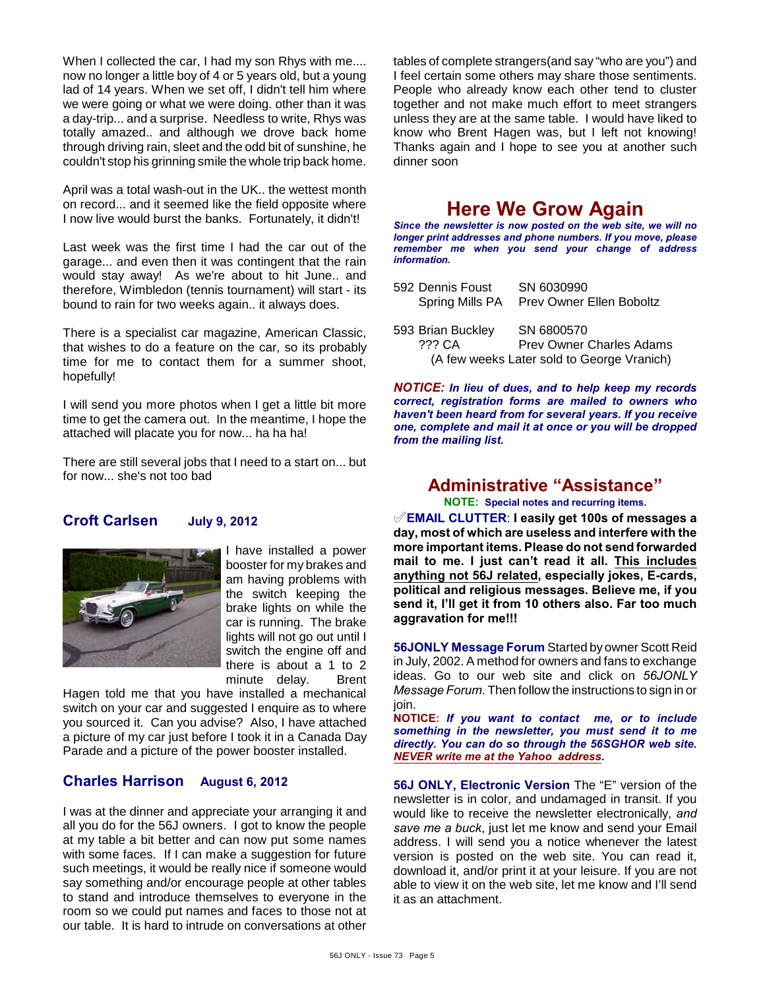When I collected the car, I had my son Rhys with me.... now no longer a little boy of 4 or 5 years old, but a young lad of 14 years. When we set off, I didn't tell him where we were going or what we were doing. other than it was a day-trip... and a surprise. Needless to write, Rhys was totally amazed.. and although we drove back home through driving rain, sleet and the odd bit of sunshine, he couldn't stop his grinning smile the whole trip back home.

April was a total wash-out in the UK.. the wettest month on record... and it seemed like the field opposite where I now live would burst the banks. Fortunately, it didn't!

Last week was the first time I had the car out of the garage... and even then it was contingent that the rain would stay away! As we're about to hit June.. and therefore, Wimbledon (tennis tournament) will start - its bound to rain for two weeks again.. it always does.

There is a specialist car magazine, American Classic, that wishes to do a feature on the car, so its probably time for me to contact them for a summer shoot, hopefully!

I will send you more photos when I get a little bit more time to get the camera out. In the meantime, I hope the attached will placate you for now... ha ha ha!

There are still several jobs that I need to a start on... but for now... she's not too bad

#### **Croft Carlsen July 9, 2012**



I have installed a power booster for my brakes and am having problems with the switch keeping the brake lights on while the car is running. The brake lights will not go out until I switch the engine off and there is about a 1 to 2 minute delay. Brent

Hagen told me that you have installed a mechanical switch on your car and suggested I enquire as to where you sourced it. Can you advise? Also, I have attached a picture of my car just before I took it in a Canada Day Parade and a picture of the power booster installed.

#### **Charles Harrison August 6, 2012**

I was at the dinner and appreciate your arranging it and all you do for the 56J owners. I got to know the people at my table a bit better and can now put some names with some faces. If I can make a suggestion for future such meetings, it would be really nice if someone would say something and/or encourage people at other tables to stand and introduce themselves to everyone in the room so we could put names and faces to those not at our table. It is hard to intrude on conversations at other

tables of complete strangers(and say "who are you") and I feel certain some others may share those sentiments. People who already know each other tend to cluster together and not make much effort to meet strangers unless they are at the same table. I would have liked to know who Brent Hagen was, but I left not knowing! Thanks again and I hope to see you at another such dinner soon

# **Here We Grow Again**

*Since the newsletter is now posted on the web site, we will no longer print addresses and phone numbers. If you move, please remember me when you send your change of address information.*

| 592 Dennis Foust  | SN 6030990                                 |
|-------------------|--------------------------------------------|
| Spring Mills PA   | Prev Owner Ellen Boboltz                   |
|                   |                                            |
| 593 Brian Buckley | SN 6800570                                 |
| 222 CA            | <b>Prev Owner Charles Adams</b>            |
|                   | (A few weeks Later sold to George Vranich) |

*NOTICE: In lieu of dues, and to help keep my records correct, registration forms are mailed to owners who haven't been heard from for several years. If you receive one, complete and mail it at once or you will be dropped from the mailing list.*

# **Administrative "Assistance"**

**NOTE: Special notes and recurring items.**

°**EMAIL CLUTTER**: **I easily get 100s of messages a day, most of which are useless and interfere with the more important items. Please do not send forwarded mail to me. I just can't read it all. This includes anything not 56J related, especially jokes, E-cards, political and religious messages. Believe me, if you send it, I'll get it from 10 others also. Far too much aggravation for me!!!**

**56JONLY Message Forum** Started by owner Scott Reid in July, 2002. A method for owners and fans to exchange ideas. Go to our web site and click on *56JONLY Message Forum*. Then follow the instructions to sign in or join.

**NOTICE:** *If you want to contact me, or to include something in the newsletter, you must send it to me directly. You can do so through the 56SGHOR web site. NEVER write me at the Yahoo address.*

**56J ONLY, Electronic Version** The "E" version of the newsletter is in color, and undamaged in transit. If you would like to receive the newsletter electronically, *and save me a buck*, just let me know and send your Email address. I will send you a notice whenever the latest version is posted on the web site. You can read it, download it, and/or print it at your leisure. If you are not able to view it on the web site, let me know and I'll send it as an attachment.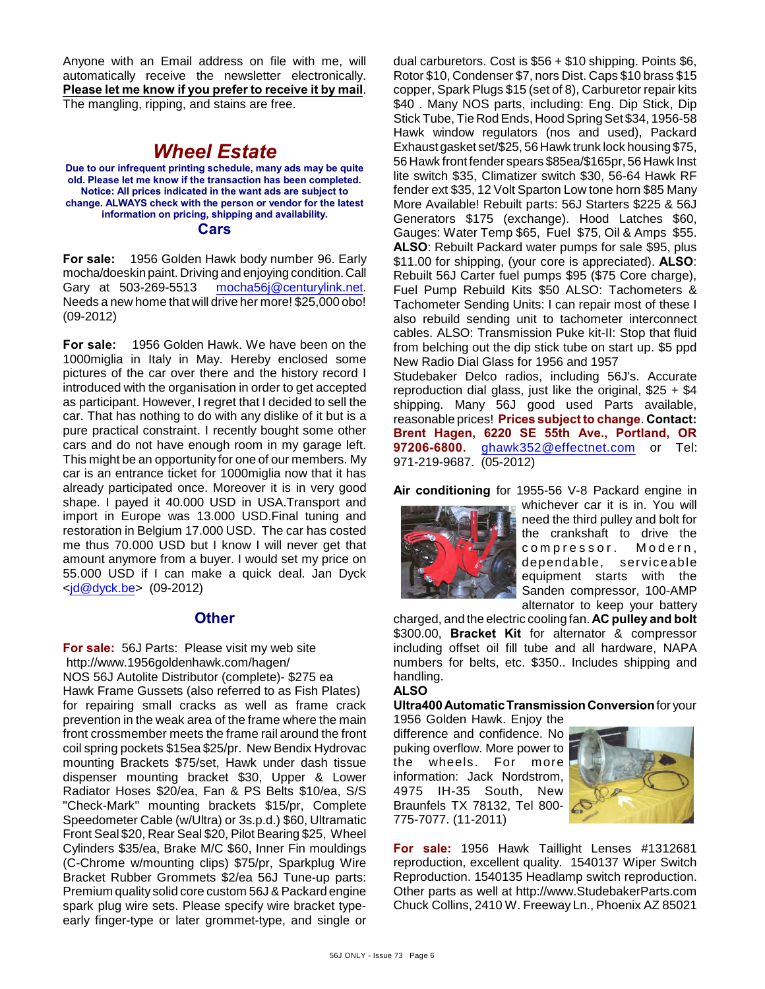Anyone with an Email address on file with me, will automatically receive the newsletter electronically. **Please let me know if you prefer to receive it by mail**. The mangling, ripping, and stains are free.

# *Wheel Estate*

**Due to our infrequent printing schedule, many ads may be quite old. Please let me know if the transaction has been completed. Notice: All prices indicated in the want ads are subject to change. ALWAYS check with the person or vendor for the latest information on pricing, shipping and availability. Cars**

**For sale:** 1956 Golden Hawk body number 96. Early mocha/doeskin paint. Driving and enjoying condition. Call Gary at 503-269-5513 [mocha56j@centurylink.net](mailto:mocha56j@centurylink.net). Needs a new home that will drive her more! \$25,000 obo! (09-2012)

**For sale:** 1956 Golden Hawk. We have been on the 1000miglia in Italy in May. Hereby enclosed some pictures of the car over there and the history record I introduced with the organisation in order to get accepted as participant. However, I regret that I decided to sell the car. That has nothing to do with any dislike of it but is a pure practical constraint. I recently bought some other cars and do not have enough room in my garage left. This might be an opportunity for one of our members. My car is an entrance ticket for 1000miglia now that it has already participated once. Moreover it is in very good shape. I payed it 40.000 USD in USA.Transport and import in Europe was 13.000 USD.Final tuning and restoration in Belgium 17.000 USD. The car has costed me thus 70.000 USD but I know I will never get that amount anymore from a buyer. I would set my price on 55.000 USD if I can make a quick deal. Jan Dyck  $\leq$ jd@dyck.be> (09-2012)

## **Other**

**For sale:** 56J Parts: Please visit my web site http://www.1956goldenhawk.com/hagen/ NOS 56J Autolite Distributor (complete)- \$275 ea Hawk Frame Gussets (also referred to as Fish Plates) for repairing small cracks as well as frame crack prevention in the weak area of the frame where the main front crossmember meets the frame rail around the front coil spring pockets \$15ea \$25/pr. New Bendix Hydrovac mounting Brackets \$75/set, Hawk under dash tissue dispenser mounting bracket \$30, Upper & Lower Radiator Hoses \$20/ea, Fan & PS Belts \$10/ea, S/S "Check-Mark" mounting brackets \$15/pr, Complete Speedometer Cable (w/Ultra) or 3s.p.d.) \$60, Ultramatic Front Seal \$20, Rear Seal \$20, Pilot Bearing \$25, Wheel Cylinders \$35/ea, Brake M/C \$60, Inner Fin mouldings (C-Chrome w/mounting clips) \$75/pr, Sparkplug Wire Bracket Rubber Grommets \$2/ea 56J Tune-up parts: Premium quality solid core custom 56J & Packard engine spark plug wire sets. Please specify wire bracket typeearly finger-type or later grommet-type, and single or

dual carburetors. Cost is \$56 + \$10 shipping. Points \$6, Rotor \$10, Condenser \$7, nors Dist. Caps \$10 brass \$15 copper, Spark Plugs \$15 (set of 8), Carburetor repair kits \$40 . Many NOS parts, including: Eng. Dip Stick, Dip Stick Tube, Tie Rod Ends, Hood Spring Set \$34, 1956-58 Hawk window regulators (nos and used), Packard Exhaust gasket set/\$25, 56 Hawk trunk lock housing \$75, 56 Hawk front fender spears \$85ea/\$165pr, 56 Hawk Inst lite switch \$35, Climatizer switch \$30, 56-64 Hawk RF fender ext \$35, 12 Volt Sparton Low tone horn \$85 Many More Available! Rebuilt parts: 56J Starters \$225 & 56J Generators \$175 (exchange). Hood Latches \$60, Gauges: Water Temp \$65, Fuel \$75, Oil & Amps \$55. **ALSO**: Rebuilt Packard water pumps for sale \$95, plus \$11.00 for shipping, (your core is appreciated). **ALSO**: Rebuilt 56J Carter fuel pumps \$95 (\$75 Core charge), Fuel Pump Rebuild Kits \$50 ALSO: Tachometers & Tachometer Sending Units: I can repair most of these I also rebuild sending unit to tachometer interconnect cables. ALSO: Transmission Puke kit-II: Stop that fluid from belching out the dip stick tube on start up. \$5 ppd New Radio Dial Glass for 1956 and 1957

Studebaker Delco radios, including 56J's. Accurate reproduction dial glass, just like the original,  $$25 + $4$ shipping. Many 56J good used Parts available, reasonable prices! **Prices subject to change**. **Contact: Brent Hagen, 6220 SE 55th Ave., Portland, OR 97206-6800.** [ghawk352@effectnet.com](mailto:ghawk352@effectnet.com) or Tel: 971-219-9687. (05-2012)

**Air conditioning** for 1955-56 V-8 Packard engine in



whichever car it is in. You will need the third pulley and bolt for the crankshaft to drive the compressor. Modern, dependable, serviceable equipment starts with the Sanden compressor, 100-AMP alternator to keep your battery

charged, and the electric cooling fan. **AC pulley and bolt** \$300.00, **Bracket Kit** for alternator & compressor including offset oil fill tube and all hardware, NAPA numbers for belts, etc. \$350.. Includes shipping and handling.

#### **ALSO**

**Ultra400 Automatic Transmission Conversion** for your

1956 Golden Hawk. Enjoy the difference and confidence. No puking overflow. More power to the wheels. For more information: Jack Nordstrom, 4975 IH-35 South, New Braunfels TX 78132, Tel 800- 775-7077. (11-2011)



**For sale:** 1956 Hawk Taillight Lenses #1312681 reproduction, excellent quality. 1540137 Wiper Switch Reproduction. 1540135 Headlamp switch reproduction. Other parts as well at http://www.StudebakerParts.com Chuck Collins, 2410 W. Freeway Ln., Phoenix AZ 85021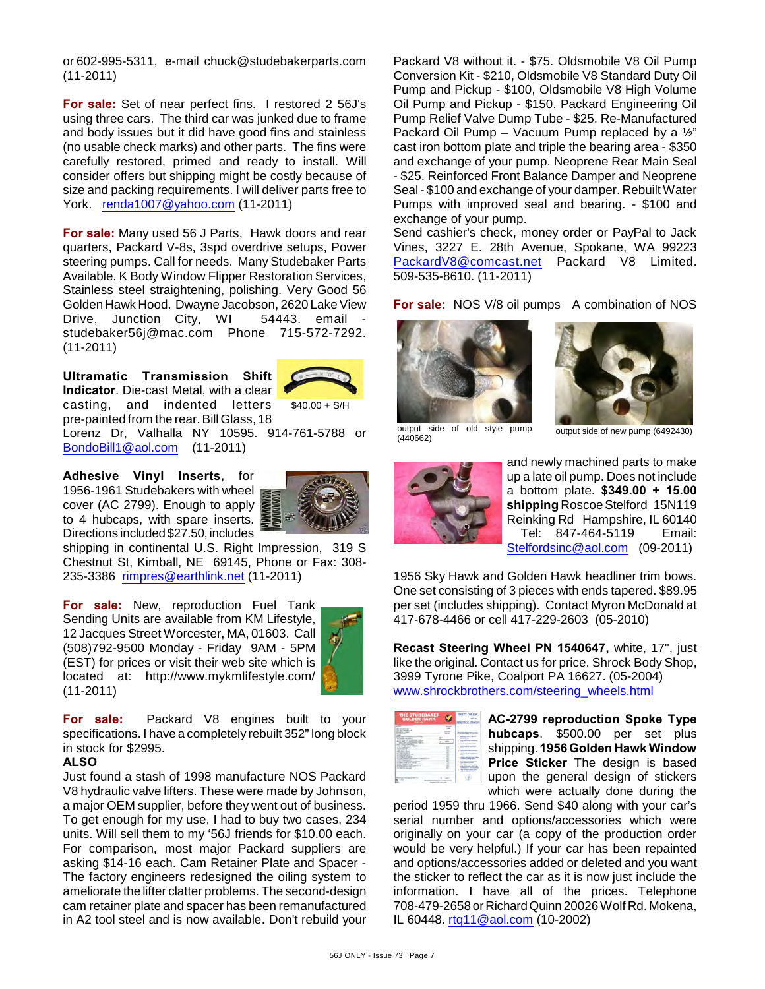or 602-995-5311, e-mail chuck@studebakerparts.com (11-2011)

**For sale:** Set of near perfect fins. I restored 2 56J's using three cars. The third car was junked due to frame and body issues but it did have good fins and stainless (no usable check marks) and other parts. The fins were carefully restored, primed and ready to install. Will consider offers but shipping might be costly because of size and packing requirements. I will deliver parts free to York. [renda1007@yahoo.com](mailto:renda1007@yahoo.com) (11-2011)

**For sale:** Many used 56 J Parts, Hawk doors and rear quarters, Packard V-8s, 3spd overdrive setups, Power steering pumps. Call for needs. Many Studebaker Parts Available. K Body Window Flipper Restoration Services, Stainless steel straightening, polishing. Very Good 56 Golden Hawk Hood. Dwayne Jacobson, 2620 Lake View Drive, Junction City, WI 54443. email studebaker56j@mac.com Phone 715-572-7292. (11-2011)

**Ultramatic Transmission Shift Indicator**. Die-cast Metal, with a clear casting, and indented letters pre-painted from the rear. Bill Glass, 18



 $$40.00 + S/H$ 

Lorenz Dr, Valhalla NY 10595. 914-761-5788 or [BondoBill1@aol.com](mailto:BondoBill1@aol.com) (11-2011)

**Adhesive Vinyl Inserts,** for 1956-1961 Studebakers with wheel cover (AC 2799). Enough to apply to 4 hubcaps, with spare inserts. Directions included \$27.50, includes



shipping in continental U.S. Right Impression, 319 S Chestnut St, Kimball, NE 69145, Phone or Fax: 308- 235-3386 [rimpres@earthlink.net](mailto:rimpres@earthlink.net) (11-2011)

**For sale:** New, reproduction Fuel Tank Sending Units are available from KM Lifestyle, 12 Jacques Street Worcester, MA, 01603. Call (508)792-9500 Monday - Friday 9AM - 5PM (EST) for prices or visit their web site which is located at: http://www.mykmlifestyle.com/ (11-2011)



**For sale:** Packard V8 engines built to your specifications. I have a completely rebuilt 352" long block in stock for \$2995.

#### **ALSO**

Just found a stash of 1998 manufacture NOS Packard V8 hydraulic valve lifters. These were made by Johnson, a major OEM supplier, before they went out of business. To get enough for my use, I had to buy two cases, 234 units. Will sell them to my '56J friends for \$10.00 each. For comparison, most major Packard suppliers are asking \$14-16 each. Cam Retainer Plate and Spacer - The factory engineers redesigned the oiling system to ameliorate the lifter clatter problems. The second-design cam retainer plate and spacer has been remanufactured in A2 tool steel and is now available. Don't rebuild your

Packard V8 without it. - \$75. Oldsmobile V8 Oil Pump Conversion Kit - \$210, Oldsmobile V8 Standard Duty Oil Pump and Pickup - \$100, Oldsmobile V8 High Volume Oil Pump and Pickup - \$150. Packard Engineering Oil Pump Relief Valve Dump Tube - \$25. Re-Manufactured Packard Oil Pump – Vacuum Pump replaced by a  $\frac{1}{2}$ " cast iron bottom plate and triple the bearing area - \$350 and exchange of your pump. Neoprene Rear Main Seal - \$25. Reinforced Front Balance Damper and Neoprene Seal - \$100 and exchange of your damper. Rebuilt Water Pumps with improved seal and bearing. - \$100 and exchange of your pump.

Send cashier's check, money order or PayPal to Jack Vines, 3227 E. 28th Avenue, Spokane, WA 99223 [PackardV8@comcast.net](mailto:PackardV8@comcast.net) Packard V8 Limited. 509-535-8610. (11-2011)

For sale: NOS V/8 oil pumps A combination of NOS





output side of old style pump output side of new pump (6492430) (440662)



and newly machined parts to make up a late oil pump. Does not include a bottom plate. **\$349.00 + 15.00 shipping** Roscoe Stelford 15N119 Reinking Rd Hampshire, IL 60140 Tel: 847-464-5119 Email: [Stelfordsinc@aol.com](mailto:Stelfordsinc@aol.com) (09-2011)

1956 Sky Hawk and Golden Hawk headliner trim bows. One set consisting of 3 pieces with ends tapered. \$89.95 per set (includes shipping). Contact Myron McDonald at 417-678-4466 or cell 417-229-2603 (05-2010)

**Recast Steering Wheel PN 1540647,** white, 17", just like the original. Contact us for price. Shrock Body Shop, 3999 Tyrone Pike, Coalport PA 16627. (05-2004) [www.shrockbrothers.com/steering\\_wheels.html](http://www.shrockbrothers.com/steering_wheels.html)

| <b>THE STUDEBARER</b><br>GOLDEN HAWK<br><b>BERTHER</b> |        |
|--------------------------------------------------------|--------|
|                                                        |        |
|                                                        |        |
|                                                        | $\sim$ |
|                                                        |        |
|                                                        |        |

**AC-2799 reproduction Spoke Type hubcaps**. \$500.00 per set plus shipping. **1956 Golden Hawk Window Price Sticker** The design is based upon the general design of stickers which were actually done during the

period 1959 thru 1966. Send \$40 along with your car's serial number and options/accessories which were originally on your car (a copy of the production order would be very helpful.) If your car has been repainted and options/accessories added or deleted and you want the sticker to reflect the car as it is now just include the information. I have all of the prices. Telephone 708-479-2658 or Richard Quinn 20026 Wolf Rd. Mokena, IL 60448. [rtq11@aol.com](mailto:rtq11@aol.com) (10-2002)